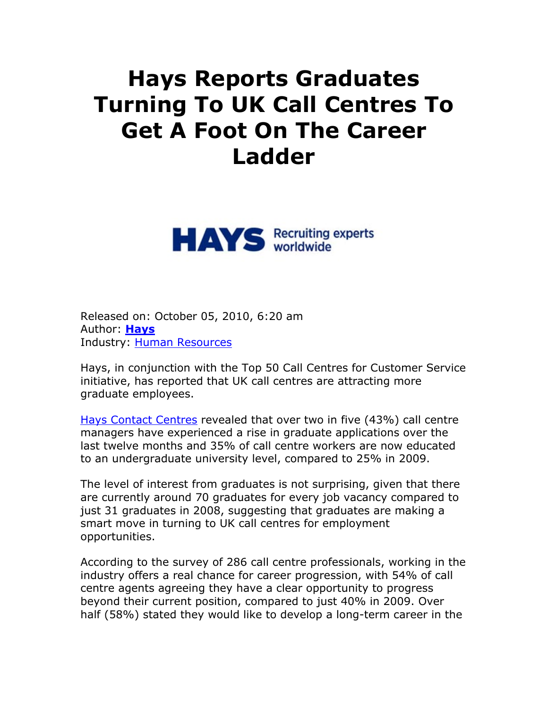## **Hays Reports Graduates Turning To UK Call Centres To Get A Foot On The Career Ladder**



Released on: October 05, 2010, 6:20 am Author: **Hays** Industry: Human Resources

Hays, in conjunction with the Top 50 Call Centres for Customer Service initiative, has reported that UK call centres are attracting more graduate employees.

Hays Contact Centres revealed that over two in five (43%) call centre managers have experienced a rise in graduate applications over the last twelve months and 35% of call centre workers are now educated to an undergraduate university level, compared to 25% in 2009.

The level of interest from graduates is not surprising, given that there are currently around 70 graduates for every job vacancy compared to just 31 graduates in 2008, suggesting that graduates are making a smart move in turning to UK call centres for employment opportunities.

According to the survey of 286 call centre professionals, working in the industry offers a real chance for career progression, with 54% of call centre agents agreeing they have a clear opportunity to progress beyond their current position, compared to just 40% in 2009. Over half (58%) stated they would like to develop a long-term career in the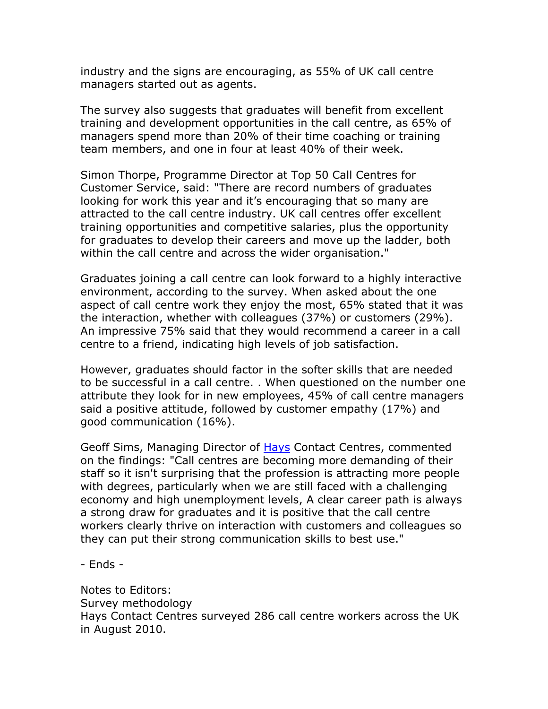industry and the signs are encouraging, as 55% of UK call centre managers started out as agents.

The survey also suggests that graduates will benefit from excellent training and development opportunities in the call centre, as 65% of managers spend more than 20% of their time coaching or training team members, and one in four at least 40% of their week.

Simon Thorpe, Programme Director at Top 50 Call Centres for Customer Service, said: "There are record numbers of graduates looking for work this year and it's encouraging that so many are attracted to the call centre industry. UK call centres offer excellent training opportunities and competitive salaries, plus the opportunity for graduates to develop their careers and move up the ladder, both within the call centre and across the wider organisation."

Graduates joining a call centre can look forward to a highly interactive environment, according to the survey. When asked about the one aspect of call centre work they enjoy the most, 65% stated that it was the interaction, whether with colleagues (37%) or customers (29%). An impressive 75% said that they would recommend a career in a call centre to a friend, indicating high levels of job satisfaction.

However, graduates should factor in the softer skills that are needed to be successful in a call centre. . When questioned on the number one attribute they look for in new employees, 45% of call centre managers said a positive attitude, followed by customer empathy (17%) and good communication (16%).

Geoff Sims, Managing Director of **Hays Contact Centres**, commented on the findings: "Call centres are becoming more demanding of their staff so it isn't surprising that the profession is attracting more people with degrees, particularly when we are still faced with a challenging economy and high unemployment levels, A clear career path is always a strong draw for graduates and it is positive that the call centre workers clearly thrive on interaction with customers and colleagues so they can put their strong communication skills to best use."

- Ends -

Notes to Editors: Survey methodology Hays Contact Centres surveyed 286 call centre workers across the UK in August 2010.